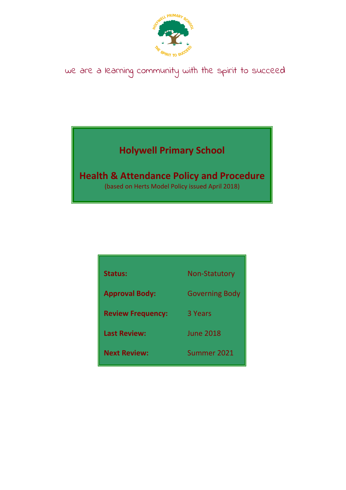

# we are a learning community with the spirit to succeed

# **Holywell Primary School**

# **Health & Attendance Policy and Procedure**

(based on Herts Model Policy issued April 2018)

| <b>Status:</b>           | <b>Non-Statutory</b>  |
|--------------------------|-----------------------|
| <b>Approval Body:</b>    | <b>Governing Body</b> |
| <b>Review Frequency:</b> | 3 Years               |
| <b>Last Review:</b>      | <b>June 2018</b>      |
| <b>Next Review:</b>      | Summer 2021           |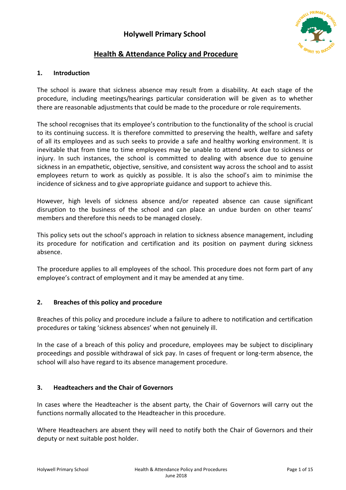

# **Health & Attendance Policy and Procedure**

#### **1. Introduction**

The school is aware that sickness absence may result from a disability. At each stage of the procedure, including meetings/hearings particular consideration will be given as to whether there are reasonable adjustments that could be made to the procedure or role requirements.

The school recognises that its employee's contribution to the functionality of the school is crucial to its continuing success. It is therefore committed to preserving the health, welfare and safety of all its employees and as such seeks to provide a safe and healthy working environment. It is inevitable that from time to time employees may be unable to attend work due to sickness or injury. In such instances, the school is committed to dealing with absence due to genuine sickness in an empathetic, objective, sensitive, and consistent way across the school and to assist employees return to work as quickly as possible. It is also the school's aim to minimise the incidence of sickness and to give appropriate guidance and support to achieve this.

However, high levels of sickness absence and/or repeated absence can cause significant disruption to the business of the school and can place an undue burden on other teams' members and therefore this needs to be managed closely.

This policy sets out the school's approach in relation to sickness absence management, including its procedure for notification and certification and its position on payment during sickness absence.

The procedure applies to all employees of the school. This procedure does not form part of any employee's contract of employment and it may be amended at any time.

#### **2. Breaches of this policy and procedure**

Breaches of this policy and procedure include a failure to adhere to notification and certification procedures or taking 'sickness absences' when not genuinely ill.

In the case of a breach of this policy and procedure, employees may be subject to disciplinary proceedings and possible withdrawal of sick pay. In cases of frequent or long-term absence, the school will also have regard to its absence management procedure.

#### **3. Headteachers and the Chair of Governors**

In cases where the Headteacher is the absent party, the Chair of Governors will carry out the functions normally allocated to the Headteacher in this procedure.

Where Headteachers are absent they will need to notify both the Chair of Governors and their deputy or next suitable post holder.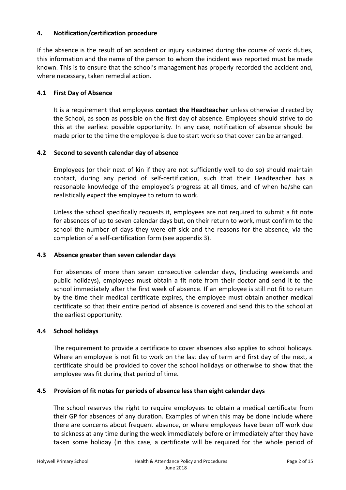#### **4. Notification/certification procedure**

If the absence is the result of an accident or injury sustained during the course of work duties, this information and the name of the person to whom the incident was reported must be made known. This is to ensure that the school's management has properly recorded the accident and, where necessary, taken remedial action.

#### **4.1 First Day of Absence**

It is a requirement that employees **contact the Headteacher** unless otherwise directed by the School, as soon as possible on the first day of absence. Employees should strive to do this at the earliest possible opportunity. In any case, notification of absence should be made prior to the time the employee is due to start work so that cover can be arranged.

#### **4.2 Second to seventh calendar day of absence**

Employees (or their next of kin if they are not sufficiently well to do so) should maintain contact, during any period of self-certification, such that their Headteacher has a reasonable knowledge of the employee's progress at all times, and of when he/she can realistically expect the employee to return to work.

Unless the school specifically requests it, employees are not required to submit a fit note for absences of up to seven calendar days but, on their return to work, must confirm to the school the number of days they were off sick and the reasons for the absence, via the completion of a self-certification form (see appendix 3).

#### **4.3 Absence greater than seven calendar days**

For absences of more than seven consecutive calendar days, (including weekends and public holidays), employees must obtain a fit note from their doctor and send it to the school immediately after the first week of absence. If an employee is still not fit to return by the time their medical certificate expires, the employee must obtain another medical certificate so that their entire period of absence is covered and send this to the school at the earliest opportunity.

#### **4.4 School holidays**

The requirement to provide a certificate to cover absences also applies to school holidays. Where an employee is not fit to work on the last day of term and first day of the next, a certificate should be provided to cover the school holidays or otherwise to show that the employee was fit during that period of time.

#### **4.5 Provision of fit notes for periods of absence less than eight calendar days**

The school reserves the right to require employees to obtain a medical certificate from their GP for absences of any duration. Examples of when this may be done include where there are concerns about frequent absence, or where employees have been off work due to sickness at any time during the week immediately before or immediately after they have taken some holiday (in this case, a certificate will be required for the whole period of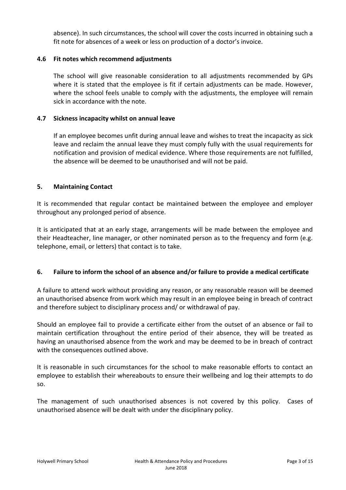absence). In such circumstances, the school will cover the costs incurred in obtaining such a fit note for absences of a week or less on production of a doctor's invoice.

#### **4.6 Fit notes which recommend adjustments**

The school will give reasonable consideration to all adjustments recommended by GPs where it is stated that the employee is fit if certain adjustments can be made. However, where the school feels unable to comply with the adjustments, the employee will remain sick in accordance with the note.

#### **4.7 Sickness incapacity whilst on annual leave**

If an employee becomes unfit during annual leave and wishes to treat the incapacity as sick leave and reclaim the annual leave they must comply fully with the usual requirements for notification and provision of medical evidence. Where those requirements are not fulfilled, the absence will be deemed to be unauthorised and will not be paid.

#### **5. Maintaining Contact**

It is recommended that regular contact be maintained between the employee and employer throughout any prolonged period of absence.

It is anticipated that at an early stage, arrangements will be made between the employee and their Headteacher, line manager, or other nominated person as to the frequency and form (e.g. telephone, email, or letters) that contact is to take.

#### **6. Failure to inform the school of an absence and/or failure to provide a medical certificate**

A failure to attend work without providing any reason, or any reasonable reason will be deemed an unauthorised absence from work which may result in an employee being in breach of contract and therefore subject to disciplinary process and/ or withdrawal of pay.

Should an employee fail to provide a certificate either from the outset of an absence or fail to maintain certification throughout the entire period of their absence, they will be treated as having an unauthorised absence from the work and may be deemed to be in breach of contract with the consequences outlined above.

It is reasonable in such circumstances for the school to make reasonable efforts to contact an employee to establish their whereabouts to ensure their wellbeing and log their attempts to do so.

The management of such unauthorised absences is not covered by this policy. Cases of unauthorised absence will be dealt with under the disciplinary policy.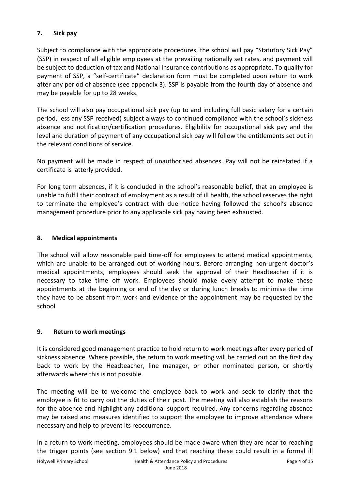## **7. Sick pay**

Subject to compliance with the appropriate procedures, the school will pay "Statutory Sick Pay" (SSP) in respect of all eligible employees at the prevailing nationally set rates, and payment will be subject to deduction of tax and National Insurance contributions as appropriate. To qualify for payment of SSP, a "self-certificate" declaration form must be completed upon return to work after any period of absence (see appendix 3). SSP is payable from the fourth day of absence and may be payable for up to 28 weeks.

The school will also pay occupational sick pay (up to and including full basic salary for a certain period, less any SSP received) subject always to continued compliance with the school's sickness absence and notification/certification procedures. Eligibility for occupational sick pay and the level and duration of payment of any occupational sick pay will follow the entitlements set out in the relevant conditions of service.

No payment will be made in respect of unauthorised absences. Pay will not be reinstated if a certificate is latterly provided.

For long term absences, if it is concluded in the school's reasonable belief, that an employee is unable to fulfil their contract of employment as a result of ill health, the school reserves the right to terminate the employee's contract with due notice having followed the school's absence management procedure prior to any applicable sick pay having been exhausted.

#### **8. Medical appointments**

The school will allow reasonable paid time-off for employees to attend medical appointments, which are unable to be arranged out of working hours. Before arranging non-urgent doctor's medical appointments, employees should seek the approval of their Headteacher if it is necessary to take time off work. Employees should make every attempt to make these appointments at the beginning or end of the day or during lunch breaks to minimise the time they have to be absent from work and evidence of the appointment may be requested by the school

#### **9. Return to work meetings**

It is considered good management practice to hold return to work meetings after every period of sickness absence. Where possible, the return to work meeting will be carried out on the first day back to work by the Headteacher, line manager, or other nominated person, or shortly afterwards where this is not possible.

The meeting will be to welcome the employee back to work and seek to clarify that the employee is fit to carry out the duties of their post. The meeting will also establish the reasons for the absence and highlight any additional support required. Any concerns regarding absence may be raised and measures identified to support the employee to improve attendance where necessary and help to prevent its reoccurrence.

In a return to work meeting, employees should be made aware when they are near to reaching the trigger points (see section 9.1 below) and that reaching these could result in a formal ill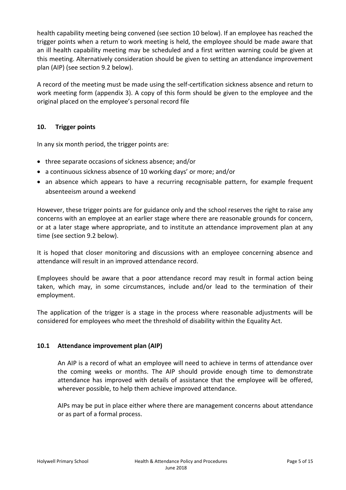health capability meeting being convened (see section 10 below). If an employee has reached the trigger points when a return to work meeting is held, the employee should be made aware that an ill health capability meeting may be scheduled and a first written warning could be given at this meeting. Alternatively consideration should be given to setting an attendance improvement plan (AIP) (see section 9.2 below).

A record of the meeting must be made using the self-certification sickness absence and return to work meeting form (appendix 3). A copy of this form should be given to the employee and the original placed on the employee's personal record file

#### **10. Trigger points**

In any six month period, the trigger points are:

- three separate occasions of sickness absence; and/or
- a continuous sickness absence of 10 working days' or more; and/or
- an absence which appears to have a recurring recognisable pattern, for example frequent absenteeism around a weekend

However, these trigger points are for guidance only and the school reserves the right to raise any concerns with an employee at an earlier stage where there are reasonable grounds for concern, or at a later stage where appropriate, and to institute an attendance improvement plan at any time (see section 9.2 below).

It is hoped that closer monitoring and discussions with an employee concerning absence and attendance will result in an improved attendance record.

Employees should be aware that a poor attendance record may result in formal action being taken, which may, in some circumstances, include and/or lead to the termination of their employment.

The application of the trigger is a stage in the process where reasonable adjustments will be considered for employees who meet the threshold of disability within the Equality Act.

#### **10.1 Attendance improvement plan (AIP)**

An AIP is a record of what an employee will need to achieve in terms of attendance over the coming weeks or months. The AIP should provide enough time to demonstrate attendance has improved with details of assistance that the employee will be offered, wherever possible, to help them achieve improved attendance.

AIPs may be put in place either where there are management concerns about attendance or as part of a formal process.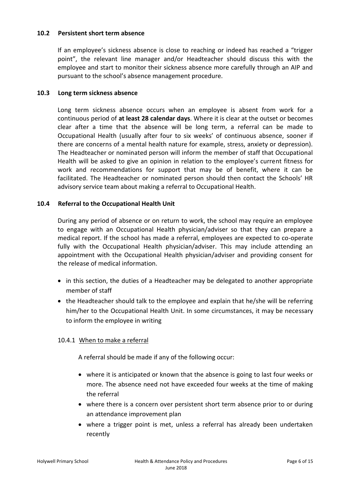#### **10.2 Persistent short term absence**

If an employee's sickness absence is close to reaching or indeed has reached a "trigger point", the relevant line manager and/or Headteacher should discuss this with the employee and start to monitor their sickness absence more carefully through an AIP and pursuant to the school's absence management procedure.

#### **10.3 Long term sickness absence**

Long term sickness absence occurs when an employee is absent from work for a continuous period of **at least 28 calendar days**. Where it is clear at the outset or becomes clear after a time that the absence will be long term, a referral can be made to Occupational Health (usually after four to six weeks' of continuous absence, sooner if there are concerns of a mental health nature for example, stress, anxiety or depression). The Headteacher or nominated person will inform the member of staff that Occupational Health will be asked to give an opinion in relation to the employee's current fitness for work and recommendations for support that may be of benefit, where it can be facilitated. The Headteacher or nominated person should then contact the Schools' HR advisory service team about making a referral to Occupational Health.

#### **10.4 Referral to the Occupational Health Unit**

During any period of absence or on return to work, the school may require an employee to engage with an Occupational Health physician/adviser so that they can prepare a medical report. If the school has made a referral, employees are expected to co-operate fully with the Occupational Health physician/adviser. This may include attending an appointment with the Occupational Health physician/adviser and providing consent for the release of medical information.

- in this section, the duties of a Headteacher may be delegated to another appropriate member of staff
- the Headteacher should talk to the employee and explain that he/she will be referring him/her to the Occupational Health Unit. In some circumstances, it may be necessary to inform the employee in writing

#### 10.4.1 When to make a referral

A referral should be made if any of the following occur:

- where it is anticipated or known that the absence is going to last four weeks or more. The absence need not have exceeded four weeks at the time of making the referral
- where there is a concern over persistent short term absence prior to or during an attendance improvement plan
- where a trigger point is met, unless a referral has already been undertaken recently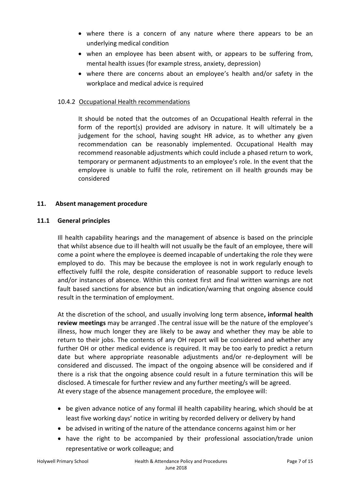- where there is a concern of any nature where there appears to be an underlying medical condition
- when an employee has been absent with, or appears to be suffering from, mental health issues (for example stress, anxiety, depression)
- where there are concerns about an employee's health and/or safety in the workplace and medical advice is required

#### 10.4.2 Occupational Health recommendations

It should be noted that the outcomes of an Occupational Health referral in the form of the report(s) provided are advisory in nature. It will ultimately be a judgement for the school, having sought HR advice, as to whether any given recommendation can be reasonably implemented. Occupational Health may recommend reasonable adjustments which could include a phased return to work, temporary or permanent adjustments to an employee's role. In the event that the employee is unable to fulfil the role, retirement on ill health grounds may be considered

#### **11. Absent management procedure**

#### **11.1 General principles**

Ill health capability hearings and the management of absence is based on the principle that whilst absence due to ill health will not usually be the fault of an employee, there will come a point where the employee is deemed incapable of undertaking the role they were employed to do. This may be because the employee is not in work regularly enough to effectively fulfil the role, despite consideration of reasonable support to reduce levels and/or instances of absence. Within this context first and final written warnings are not fault based sanctions for absence but an indication/warning that ongoing absence could result in the termination of employment.

At the discretion of the school, and usually involving long term absence**, informal health review meetings** may be arranged .The central issue will be the nature of the employee's illness, how much longer they are likely to be away and whether they may be able to return to their jobs. The contents of any OH report will be considered and whether any further OH or other medical evidence is required. It may be too early to predict a return date but where appropriate reasonable adjustments and/or re-deployment will be considered and discussed. The impact of the ongoing absence will be considered and if there is a risk that the ongoing absence could result in a future termination this will be disclosed. A timescale for further review and any further meeting/s will be agreed. At every stage of the absence management procedure, the employee will:

- be given advance notice of any formal ill health capability hearing, which should be at least five working days' notice in writing by recorded delivery or delivery by hand
- be advised in writing of the nature of the attendance concerns against him or her
- have the right to be accompanied by their professional association/trade union representative or work colleague; and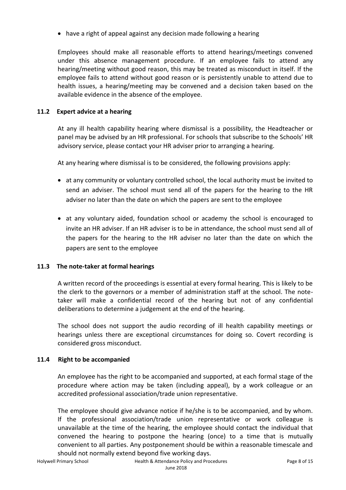have a right of appeal against any decision made following a hearing

Employees should make all reasonable efforts to attend hearings/meetings convened under this absence management procedure. If an employee fails to attend any hearing/meeting without good reason, this may be treated as misconduct in itself. If the employee fails to attend without good reason or is persistently unable to attend due to health issues, a hearing/meeting may be convened and a decision taken based on the available evidence in the absence of the employee.

#### **11.2 Expert advice at a hearing**

At any ill health capability hearing where dismissal is a possibility, the Headteacher or panel may be advised by an HR professional. For schools that subscribe to the Schools' HR advisory service, please contact your HR adviser prior to arranging a hearing.

At any hearing where dismissal is to be considered, the following provisions apply:

- at any community or voluntary controlled school, the local authority must be invited to send an adviser. The school must send all of the papers for the hearing to the HR adviser no later than the date on which the papers are sent to the employee
- at any voluntary aided, foundation school or academy the school is encouraged to invite an HR adviser. If an HR adviser is to be in attendance, the school must send all of the papers for the hearing to the HR adviser no later than the date on which the papers are sent to the employee

#### **11.3 The note-taker at formal hearings**

A written record of the proceedings is essential at every formal hearing. This is likely to be the clerk to the governors or a member of administration staff at the school. The notetaker will make a confidential record of the hearing but not of any confidential deliberations to determine a judgement at the end of the hearing.

The school does not support the audio recording of ill health capability meetings or hearings unless there are exceptional circumstances for doing so. Covert recording is considered gross misconduct.

#### **11.4 Right to be accompanied**

An employee has the right to be accompanied and supported, at each formal stage of the procedure where action may be taken (including appeal), by a work colleague or an accredited professional association/trade union representative.

The employee should give advance notice if he/she is to be accompanied, and by whom. If the professional association/trade union representative or work colleague is unavailable at the time of the hearing, the employee should contact the individual that convened the hearing to postpone the hearing (once) to a time that is mutually convenient to all parties. Any postponement should be within a reasonable timescale and should not normally extend beyond five working days.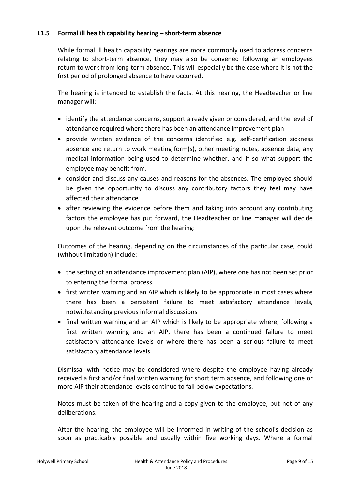#### **11.5 Formal ill health capability hearing – short-term absence**

While formal ill health capability hearings are more commonly used to address concerns relating to short-term absence, they may also be convened following an employees return to work from long-term absence. This will especially be the case where it is not the first period of prolonged absence to have occurred.

The hearing is intended to establish the facts. At this hearing, the Headteacher or line manager will:

- identify the attendance concerns, support already given or considered, and the level of attendance required where there has been an attendance improvement plan
- provide written evidence of the concerns identified e.g. self-certification sickness absence and return to work meeting form(s), other meeting notes, absence data, any medical information being used to determine whether, and if so what support the employee may benefit from.
- consider and discuss any causes and reasons for the absences. The employee should be given the opportunity to discuss any contributory factors they feel may have affected their attendance
- after reviewing the evidence before them and taking into account any contributing factors the employee has put forward, the Headteacher or line manager will decide upon the relevant outcome from the hearing:

Outcomes of the hearing, depending on the circumstances of the particular case, could (without limitation) include:

- $\bullet$  the setting of an attendance improvement plan (AIP), where one has not been set prior to entering the formal process.
- first written warning and an AIP which is likely to be appropriate in most cases where there has been a persistent failure to meet satisfactory attendance levels, notwithstanding previous informal discussions
- final written warning and an AIP which is likely to be appropriate where, following a first written warning and an AIP, there has been a continued failure to meet satisfactory attendance levels or where there has been a serious failure to meet satisfactory attendance levels

Dismissal with notice may be considered where despite the employee having already received a first and/or final written warning for short term absence, and following one or more AIP their attendance levels continue to fall below expectations.

Notes must be taken of the hearing and a copy given to the employee, but not of any deliberations.

After the hearing, the employee will be informed in writing of the school's decision as soon as practicably possible and usually within five working days. Where a formal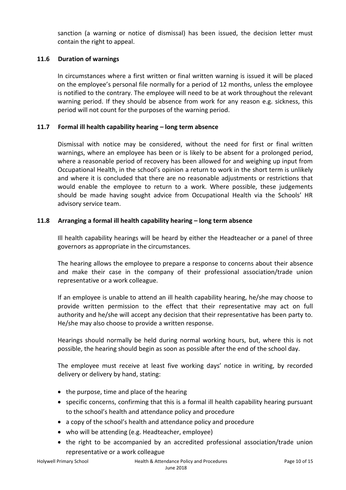sanction (a warning or notice of dismissal) has been issued, the decision letter must contain the right to appeal.

#### **11.6 Duration of warnings**

In circumstances where a first written or final written warning is issued it will be placed on the employee's personal file normally for a period of 12 months, unless the employee is notified to the contrary. The employee will need to be at work throughout the relevant warning period. If they should be absence from work for any reason e.g. sickness, this period will not count for the purposes of the warning period.

#### **11.7 Formal ill health capability hearing – long term absence**

Dismissal with notice may be considered, without the need for first or final written warnings, where an employee has been or is likely to be absent for a prolonged period, where a reasonable period of recovery has been allowed for and weighing up input from Occupational Health, in the school's opinion a return to work in the short term is unlikely and where it is concluded that there are no reasonable adjustments or restrictions that would enable the employee to return to a work. Where possible, these judgements should be made having sought advice from Occupational Health via the Schools' HR advisory service team.

#### **11.8 Arranging a formal ill health capability hearing – long term absence**

Ill health capability hearings will be heard by either the Headteacher or a panel of three governors as appropriate in the circumstances.

The hearing allows the employee to prepare a response to concerns about their absence and make their case in the company of their professional association/trade union representative or a work colleague.

If an employee is unable to attend an ill health capability hearing, he/she may choose to provide written permission to the effect that their representative may act on full authority and he/she will accept any decision that their representative has been party to. He/she may also choose to provide a written response.

Hearings should normally be held during normal working hours, but, where this is not possible, the hearing should begin as soon as possible after the end of the school day.

The employee must receive at least five working days' notice in writing, by recorded delivery or delivery by hand, stating:

- the purpose, time and place of the hearing
- specific concerns, confirming that this is a formal ill health capability hearing pursuant to the school's health and attendance policy and procedure
- a copy of the school's health and attendance policy and procedure
- who will be attending (e.g. Headteacher, employee)
- the right to be accompanied by an accredited professional association/trade union representative or a work colleague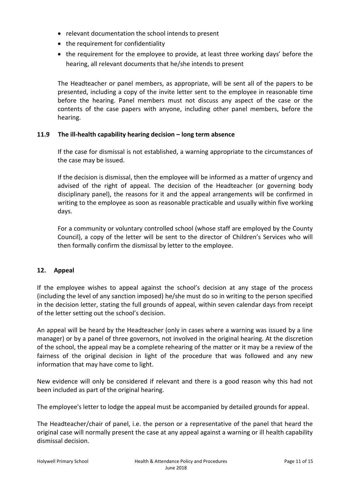- relevant documentation the school intends to present
- the requirement for confidentiality
- the requirement for the employee to provide, at least three working days' before the hearing, all relevant documents that he/she intends to present

The Headteacher or panel members, as appropriate, will be sent all of the papers to be presented, including a copy of the invite letter sent to the employee in reasonable time before the hearing. Panel members must not discuss any aspect of the case or the contents of the case papers with anyone, including other panel members, before the hearing.

#### **11.9 The ill-health capability hearing decision – long term absence**

If the case for dismissal is not established, a warning appropriate to the circumstances of the case may be issued.

If the decision is dismissal, then the employee will be informed as a matter of urgency and advised of the right of appeal. The decision of the Headteacher (or governing body disciplinary panel), the reasons for it and the appeal arrangements will be confirmed in writing to the employee as soon as reasonable practicable and usually within five working days.

For a community or voluntary controlled school (whose staff are employed by the County Council), a copy of the letter will be sent to the director of Children's Services who will then formally confirm the dismissal by letter to the employee.

#### **12. Appeal**

If the employee wishes to appeal against the school's decision at any stage of the process (including the level of any sanction imposed) he/she must do so in writing to the person specified in the decision letter, stating the full grounds of appeal, within seven calendar days from receipt of the letter setting out the school's decision.

An appeal will be heard by the Headteacher (only in cases where a warning was issued by a line manager) or by a panel of three governors, not involved in the original hearing. At the discretion of the school, the appeal may be a complete rehearing of the matter or it may be a review of the fairness of the original decision in light of the procedure that was followed and any new information that may have come to light.

New evidence will only be considered if relevant and there is a good reason why this had not been included as part of the original hearing.

The employee's letter to lodge the appeal must be accompanied by detailed grounds for appeal.

The Headteacher/chair of panel, i.e. the person or a representative of the panel that heard the original case will normally present the case at any appeal against a warning or ill health capability dismissal decision.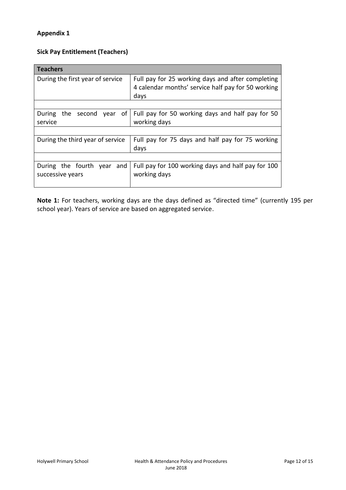#### **Appendix 1**

## **Sick Pay Entitlement (Teachers)**

| <b>Teachers</b>                       |                                                    |  |  |  |  |  |  |
|---------------------------------------|----------------------------------------------------|--|--|--|--|--|--|
| During the first year of service      | Full pay for 25 working days and after completing  |  |  |  |  |  |  |
|                                       | 4 calendar months' service half pay for 50 working |  |  |  |  |  |  |
|                                       | days                                               |  |  |  |  |  |  |
|                                       |                                                    |  |  |  |  |  |  |
| of<br>During<br>the<br>second<br>year | Full pay for 50 working days and half pay for 50   |  |  |  |  |  |  |
| service                               | working days                                       |  |  |  |  |  |  |
|                                       |                                                    |  |  |  |  |  |  |
| During the third year of service      | Full pay for 75 days and half pay for 75 working   |  |  |  |  |  |  |
|                                       | days                                               |  |  |  |  |  |  |
|                                       |                                                    |  |  |  |  |  |  |
| During the fourth year and            | Full pay for 100 working days and half pay for 100 |  |  |  |  |  |  |
| successive years                      | working days                                       |  |  |  |  |  |  |
|                                       |                                                    |  |  |  |  |  |  |

**Note 1:** For teachers, working days are the days defined as "directed time" (currently 195 per school year). Years of service are based on aggregated service.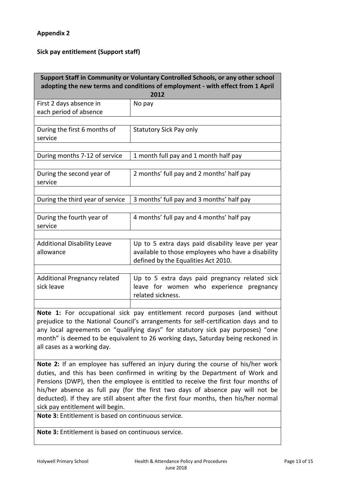## **Appendix 2**

# **Sick pay entitlement (Support staff)**

| Support Staff in Community or Voluntary Controlled Schools, or any other school<br>adopting the new terms and conditions of employment - with effect from 1 April<br>2012                                                                                                                                                                                                                                                                                  |                                                                                                                                                                                                                                                                                                                                             |  |  |  |  |  |  |  |
|------------------------------------------------------------------------------------------------------------------------------------------------------------------------------------------------------------------------------------------------------------------------------------------------------------------------------------------------------------------------------------------------------------------------------------------------------------|---------------------------------------------------------------------------------------------------------------------------------------------------------------------------------------------------------------------------------------------------------------------------------------------------------------------------------------------|--|--|--|--|--|--|--|
| First 2 days absence in<br>each period of absence                                                                                                                                                                                                                                                                                                                                                                                                          | No pay                                                                                                                                                                                                                                                                                                                                      |  |  |  |  |  |  |  |
| During the first 6 months of<br>service                                                                                                                                                                                                                                                                                                                                                                                                                    | <b>Statutory Sick Pay only</b>                                                                                                                                                                                                                                                                                                              |  |  |  |  |  |  |  |
| During months 7-12 of service                                                                                                                                                                                                                                                                                                                                                                                                                              | 1 month full pay and 1 month half pay                                                                                                                                                                                                                                                                                                       |  |  |  |  |  |  |  |
| During the second year of<br>service                                                                                                                                                                                                                                                                                                                                                                                                                       | 2 months' full pay and 2 months' half pay                                                                                                                                                                                                                                                                                                   |  |  |  |  |  |  |  |
| During the third year of service                                                                                                                                                                                                                                                                                                                                                                                                                           | 3 months' full pay and 3 months' half pay                                                                                                                                                                                                                                                                                                   |  |  |  |  |  |  |  |
| During the fourth year of<br>service                                                                                                                                                                                                                                                                                                                                                                                                                       | 4 months' full pay and 4 months' half pay                                                                                                                                                                                                                                                                                                   |  |  |  |  |  |  |  |
| <b>Additional Disability Leave</b><br>allowance                                                                                                                                                                                                                                                                                                                                                                                                            | Up to 5 extra days paid disability leave per year<br>available to those employees who have a disability<br>defined by the Equalities Act 2010.                                                                                                                                                                                              |  |  |  |  |  |  |  |
| <b>Additional Pregnancy related</b><br>sick leave                                                                                                                                                                                                                                                                                                                                                                                                          | Up to 5 extra days paid pregnancy related sick<br>leave for women who experience pregnancy<br>related sickness.                                                                                                                                                                                                                             |  |  |  |  |  |  |  |
| Note 1: For occupational sick pay entitlement record purposes (and without<br>prejudice to the National Council's arrangements for self-certification days and to<br>any local agreements on "qualifying days" for statutory sick pay purposes) "one<br>month" is deemed to be equivalent to 26 working days, Saturday being reckoned in<br>all cases as a working day.<br>Note 2: If an employee has suffered an injury during the course of his/her work |                                                                                                                                                                                                                                                                                                                                             |  |  |  |  |  |  |  |
| sick pay entitlement will begin.                                                                                                                                                                                                                                                                                                                                                                                                                           | duties, and this has been confirmed in writing by the Department of Work and<br>Pensions (DWP), then the employee is entitled to receive the first four months of<br>his/her absence as full pay (for the first two days of absence pay will not be<br>deducted). If they are still absent after the first four months, then his/her normal |  |  |  |  |  |  |  |

**Note 3:** Entitlement is based on continuous service.

**Note 3:** Entitlement is based on continuous service.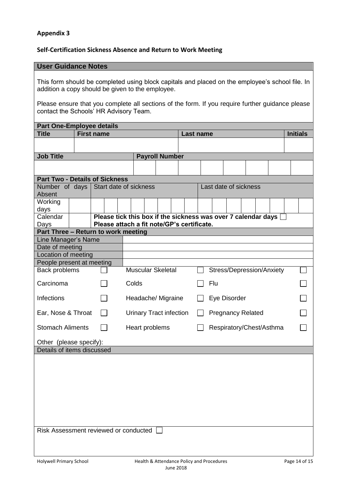#### **Appendix 3**

#### **Self-Certification Sickness Absence and Return to Work Meeting**

#### **User Guidance Notes**

This form should be completed using block capitals and placed on the employee's school file. In addition a copy should be given to the employee.

Please ensure that you complete all sections of the form. If you require further guidance please contact the Schools' HR Advisory Team.

| <b>Part One-Employee details</b>          |                   |  |  |  |                                                                 |  |                        |           |  |                          |  |                       |              |  |  |                 |                           |  |  |
|-------------------------------------------|-------------------|--|--|--|-----------------------------------------------------------------|--|------------------------|-----------|--|--------------------------|--|-----------------------|--------------|--|--|-----------------|---------------------------|--|--|
| <b>Title</b>                              | <b>First name</b> |  |  |  |                                                                 |  |                        | Last name |  |                          |  |                       |              |  |  | <b>Initials</b> |                           |  |  |
|                                           |                   |  |  |  |                                                                 |  |                        |           |  |                          |  |                       |              |  |  |                 |                           |  |  |
| <b>Job Title</b><br><b>Payroll Number</b> |                   |  |  |  |                                                                 |  |                        |           |  |                          |  |                       |              |  |  |                 |                           |  |  |
|                                           |                   |  |  |  |                                                                 |  |                        |           |  |                          |  |                       |              |  |  |                 |                           |  |  |
| <b>Part Two - Details of Sickness</b>     |                   |  |  |  |                                                                 |  |                        |           |  |                          |  |                       |              |  |  |                 |                           |  |  |
| Absent                                    | Number of days    |  |  |  |                                                                 |  | Start date of sickness |           |  |                          |  | Last date of sickness |              |  |  |                 |                           |  |  |
| Working                                   |                   |  |  |  |                                                                 |  |                        |           |  |                          |  |                       |              |  |  |                 |                           |  |  |
| days                                      |                   |  |  |  |                                                                 |  |                        |           |  |                          |  |                       |              |  |  |                 |                           |  |  |
| Calendar                                  |                   |  |  |  | Please tick this box if the sickness was over 7 calendar days [ |  |                        |           |  |                          |  |                       |              |  |  |                 |                           |  |  |
| Days                                      |                   |  |  |  | Please attach a fit note/GP's certificate.                      |  |                        |           |  |                          |  |                       |              |  |  |                 |                           |  |  |
| Part Three - Return to work meeting       |                   |  |  |  |                                                                 |  |                        |           |  |                          |  |                       |              |  |  |                 |                           |  |  |
| Line Manager's Name<br>Date of meeting    |                   |  |  |  |                                                                 |  |                        |           |  |                          |  |                       |              |  |  |                 |                           |  |  |
| Location of meeting                       |                   |  |  |  |                                                                 |  |                        |           |  |                          |  |                       |              |  |  |                 |                           |  |  |
| People present at meeting                 |                   |  |  |  |                                                                 |  |                        |           |  |                          |  |                       |              |  |  |                 |                           |  |  |
| Back problems                             |                   |  |  |  | <b>Muscular Skeletal</b>                                        |  |                        |           |  |                          |  |                       |              |  |  |                 | Stress/Depression/Anxiety |  |  |
| Carcinoma                                 |                   |  |  |  | Colds                                                           |  |                        |           |  |                          |  | Flu                   |              |  |  |                 |                           |  |  |
| <b>Infections</b>                         |                   |  |  |  |                                                                 |  | Headache/ Migraine     |           |  |                          |  |                       | Eye Disorder |  |  |                 |                           |  |  |
| Ear, Nose & Throat                        |                   |  |  |  | <b>Urinary Tract infection</b>                                  |  |                        |           |  | <b>Pregnancy Related</b> |  |                       |              |  |  |                 |                           |  |  |
| <b>Stomach Aliments</b>                   |                   |  |  |  | Heart problems                                                  |  |                        |           |  | Respiratory/Chest/Asthma |  |                       |              |  |  |                 |                           |  |  |
| Other (please specify):                   |                   |  |  |  |                                                                 |  |                        |           |  |                          |  |                       |              |  |  |                 |                           |  |  |
| Details of items discussed                |                   |  |  |  |                                                                 |  |                        |           |  |                          |  |                       |              |  |  |                 |                           |  |  |
|                                           |                   |  |  |  |                                                                 |  |                        |           |  |                          |  |                       |              |  |  |                 |                           |  |  |
|                                           |                   |  |  |  |                                                                 |  |                        |           |  |                          |  |                       |              |  |  |                 |                           |  |  |
|                                           |                   |  |  |  |                                                                 |  |                        |           |  |                          |  |                       |              |  |  |                 |                           |  |  |
|                                           |                   |  |  |  |                                                                 |  |                        |           |  |                          |  |                       |              |  |  |                 |                           |  |  |
| Risk Assessment reviewed or conducted     |                   |  |  |  |                                                                 |  |                        |           |  |                          |  |                       |              |  |  |                 |                           |  |  |
|                                           |                   |  |  |  |                                                                 |  |                        |           |  |                          |  |                       |              |  |  |                 |                           |  |  |
|                                           |                   |  |  |  |                                                                 |  |                        |           |  |                          |  |                       |              |  |  |                 |                           |  |  |
|                                           |                   |  |  |  |                                                                 |  |                        |           |  |                          |  |                       |              |  |  |                 |                           |  |  |